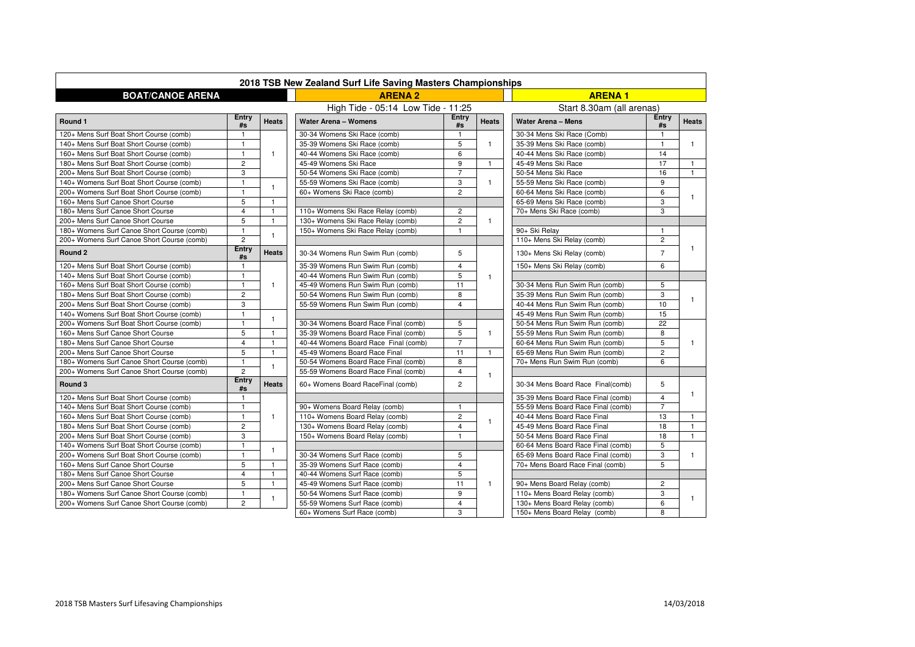

|                                            |                      |              | <b>ARENA 2</b>                       | 2018 TSB New Zealand Surf Life Saving Masters Championships |                         |                                    |                |                         |  |  |
|--------------------------------------------|----------------------|--------------|--------------------------------------|-------------------------------------------------------------|-------------------------|------------------------------------|----------------|-------------------------|--|--|
| <b>BOAT/CANOE ARENA</b>                    |                      |              |                                      | <b>ARENA1</b>                                               |                         |                                    |                |                         |  |  |
|                                            |                      |              | High Tide - 05:14 Low Tide - 11:25   |                                                             |                         | Start 8.30am (all arenas)          |                |                         |  |  |
| Round 1                                    | <b>Entry</b><br>#s   | <b>Heats</b> | <b>Water Arena - Womens</b>          | Entry<br>#s                                                 | <b>Heats</b>            | <b>Water Arena - Mens</b>          | Entry<br>#s    | <b>Heats</b>            |  |  |
| 120+ Mens Surf Boat Short Course (comb)    |                      |              | 30-34 Womens Ski Race (comb)         |                                                             |                         | 30-34 Mens Ski Race (Comb)         |                |                         |  |  |
| 140+ Mens Surf Boat Short Course (comb)    |                      |              | 35-39 Womens Ski Race (comb)         | 5                                                           |                         | 35-39 Mens Ski Race (comb)         | 1              |                         |  |  |
| 160+ Mens Surf Boat Short Course (comb)    |                      | $\mathbf{1}$ | 40-44 Womens Ski Race (comb)         | 6                                                           |                         | 40-44 Mens Ski Race (comb)         | 14             |                         |  |  |
| 180+ Mens Surf Boat Short Course (comb)    | $\overline{2}$       |              | 45-49 Womens Ski Race                | 9                                                           | $\overline{\mathbf{1}}$ | 45-49 Mens Ski Race                | 17             | -1                      |  |  |
| 200+ Mens Surf Boat Short Course (comb)    | 3                    |              | 50-54 Womens Ski Race (comb)         | $\overline{7}$                                              |                         | 50-54 Mens Ski Race                | 16             | $\overline{1}$          |  |  |
| 140+ Womens Surf Boat Short Course (comb)  |                      |              | 55-59 Womens Ski Race (comb)         | 3                                                           |                         | 55-59 Mens Ski Race (comb)         | 9              |                         |  |  |
| 200+ Womens Surf Boat Short Course (comb)  | -1                   |              | 60+ Womens Ski Race (comb)           | $\mathbf{2}$                                                |                         | 60-64 Mens Ski Race (comb)         | 6              |                         |  |  |
| 160+ Mens Surf Canoe Short Course          | 5                    | $\mathbf{1}$ |                                      |                                                             |                         | 65-69 Mens Ski Race (comb)         | 3              |                         |  |  |
| 180+ Mens Surf Canoe Short Course          | $\overline{4}$       | $\mathbf{1}$ | 110+ Womens Ski Race Relay (comb)    | $\overline{2}$                                              |                         | 70+ Mens Ski Race (comb)           | 3              |                         |  |  |
| 200+ Mens Surf Canoe Short Course          | 5                    | $\mathbf{1}$ | 130+ Womens Ski Race Relay (comb)    | $\overline{2}$                                              |                         |                                    |                |                         |  |  |
| 180+ Womens Surf Canoe Short Course (comb) | $\blacktriangleleft$ |              | 150+ Womens Ski Race Relay (comb)    | 1                                                           |                         | 90+ Ski Relay                      | $\mathbf{1}$   |                         |  |  |
| 200+ Womens Surf Canoe Short Course (comb) | $\overline{2}$       |              |                                      |                                                             |                         | 110+ Mens Ski Relay (comb)         | $\mathbf{2}$   |                         |  |  |
| Round 2                                    | Entry<br>#s          | <b>Heats</b> | 30-34 Womens Run Swim Run (comb)     | 5                                                           |                         | 130+ Mens Ski Relay (comb)         | 7              |                         |  |  |
| 120+ Mens Surf Boat Short Course (comb)    |                      |              | 35-39 Womens Run Swim Run (comb)     | $\overline{4}$                                              |                         | 150+ Mens Ski Relay (comb)         | 6              |                         |  |  |
| 140+ Mens Surf Boat Short Course (comb)    | $\mathbf 1$          |              | 40-44 Womens Run Swim Run (comb)     | 5                                                           | $\overline{1}$          |                                    |                |                         |  |  |
| 160+ Mens Surf Boat Short Course (comb)    |                      | $\mathbf{1}$ | 45-49 Womens Run Swim Run (comb)     | 11                                                          |                         | 30-34 Mens Run Swim Run (comb)     | 5              |                         |  |  |
| 180+ Mens Surf Boat Short Course (comb)    | $\overline{2}$       |              | 50-54 Womens Run Swim Run (comb)     | 8                                                           |                         | 35-39 Mens Run Swim Run (comb)     | 3              |                         |  |  |
| 200+ Mens Surf Boat Short Course (comb)    | 3                    |              | 55-59 Womens Run Swim Run (comb)     | 4                                                           |                         | 40-44 Mens Run Swim Run (comb)     | 10             |                         |  |  |
| 140+ Womens Surf Boat Short Course (comb)  | $\blacktriangleleft$ |              |                                      |                                                             |                         | 45-49 Mens Run Swim Run (comb)     | 15             |                         |  |  |
| 200+ Womens Surf Boat Short Course (comb)  | $\blacktriangleleft$ | 1            | 30-34 Womens Board Race Final (comb) | 5                                                           |                         | 50-54 Mens Run Swim Run (comb)     | 22             |                         |  |  |
| 160+ Mens Surf Canoe Short Course          | 5                    | $\mathbf{1}$ | 35-39 Womens Board Race Final (comb) | 5                                                           |                         | 55-59 Mens Run Swim Run (comb)     | 8              |                         |  |  |
| 180+ Mens Surf Canoe Short Course          | $\overline{4}$       | $\mathbf{1}$ | 40-44 Womens Board Race Final (comb) | $\overline{7}$                                              |                         | 60-64 Mens Run Swim Run (comb)     | 5              |                         |  |  |
| 200+ Mens Surf Canoe Short Course          | 5                    | $\mathbf{1}$ | 45-49 Womens Board Race Final        | 11                                                          |                         | 65-69 Mens Run Swim Run (comb)     | $\mathbf{2}$   |                         |  |  |
| 180+ Womens Surf Canoe Short Course (comb) |                      |              | 50-54 Womens Board Race Final (comb) | 8                                                           |                         | 70+ Mens Run Swim Run (comb)       | 6              |                         |  |  |
| 200+ Womens Surf Canoe Short Course (comb) | $\overline{2}$       |              | 55-59 Womens Board Race Final (comb) | 4<br>-1                                                     |                         |                                    |                |                         |  |  |
| Round 3                                    | <b>Entry</b><br>#s   | <b>Heats</b> | 60+ Womens Board RaceFinal (comb)    | $\overline{2}$                                              |                         | 30-34 Mens Board Race Final(comb)  | 5              |                         |  |  |
| 120+ Mens Surf Boat Short Course (comb)    |                      |              |                                      |                                                             |                         | 35-39 Mens Board Race Final (comb) | 4              |                         |  |  |
| 140+ Mens Surf Boat Short Course (comb)    |                      |              | 90+ Womens Board Relay (comb)        |                                                             |                         | 55-59 Mens Board Race Final (comb) | $\overline{7}$ |                         |  |  |
| 160+ Mens Surf Boat Short Course (comb)    |                      | -1           | 110+ Womens Board Relay (comb)       | $\overline{2}$                                              |                         | 40-44 Mens Board Race Final        | 13             |                         |  |  |
| 180+ Mens Surf Boat Short Course (comb)    | $\overline{c}$       |              | 130+ Womens Board Relay (comb)       |                                                             |                         | 45-49 Mens Board Race Final        | 18             | $\overline{\mathbf{1}}$ |  |  |
| 200+ Mens Surf Boat Short Course (comb)    | 3                    |              | 150+ Womens Board Relay (comb)       |                                                             |                         | 50-54 Mens Board Race Final        | 18             | $\mathbf{1}$            |  |  |
| 140+ Womens Surf Boat Short Course (comb)  |                      |              |                                      |                                                             |                         | 60-64 Mens Board Race Final (comb) | 5              |                         |  |  |
| 200+ Womens Surf Boat Short Course (comb)  |                      |              | 30-34 Womens Surf Race (comb)        | 5                                                           |                         | 65-69 Mens Board Race Final (comb) | 3              |                         |  |  |
| 160+ Mens Surf Canoe Short Course          | 5                    |              | 35-39 Womens Surf Race (comb)        | 4                                                           |                         | 70+ Mens Board Race Final (comb)   | 5              |                         |  |  |
| 180+ Mens Surf Canoe Short Course          | 4                    |              | 40-44 Womens Surf Race (comb)        | 5                                                           |                         |                                    |                |                         |  |  |
| 200+ Mens Surf Canoe Short Course          | 5                    | $\mathbf{1}$ | 45-49 Womens Surf Race (comb)        | 11                                                          | -1                      | 90+ Mens Board Relay (comb)        | $\mathbf{2}$   |                         |  |  |
| 180+ Womens Surf Canoe Short Course (comb) |                      |              | 50-54 Womens Surf Race (comb)        | 9                                                           |                         | 110+ Mens Board Relay (comb)       | 3              |                         |  |  |
| 200+ Womens Surf Canoe Short Course (comb) | $\mathbf{2}$         |              | 55-59 Womens Surf Race (comb)        | 4                                                           |                         | 130+ Mens Board Relay (comb)       | 6              |                         |  |  |
|                                            |                      |              | 60+ Womens Surf Race (comb)          | 3                                                           |                         | 150+ Mens Board Relay (comb)       | 8              |                         |  |  |